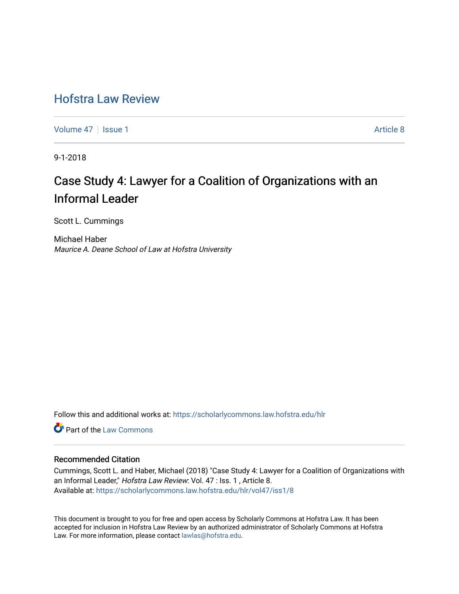# [Hofstra Law Review](https://scholarlycommons.law.hofstra.edu/hlr)

[Volume 47](https://scholarlycommons.law.hofstra.edu/hlr/vol47) | [Issue 1](https://scholarlycommons.law.hofstra.edu/hlr/vol47/iss1) Article 8

9-1-2018

# Case Study 4: Lawyer for a Coalition of Organizations with an Informal Leader

Scott L. Cummings

Michael Haber Maurice A. Deane School of Law at Hofstra University

Follow this and additional works at: [https://scholarlycommons.law.hofstra.edu/hlr](https://scholarlycommons.law.hofstra.edu/hlr?utm_source=scholarlycommons.law.hofstra.edu%2Fhlr%2Fvol47%2Fiss1%2F8&utm_medium=PDF&utm_campaign=PDFCoverPages)

**C** Part of the [Law Commons](http://network.bepress.com/hgg/discipline/578?utm_source=scholarlycommons.law.hofstra.edu%2Fhlr%2Fvol47%2Fiss1%2F8&utm_medium=PDF&utm_campaign=PDFCoverPages)

### Recommended Citation

Cummings, Scott L. and Haber, Michael (2018) "Case Study 4: Lawyer for a Coalition of Organizations with an Informal Leader," Hofstra Law Review: Vol. 47 : Iss. 1, Article 8. Available at: [https://scholarlycommons.law.hofstra.edu/hlr/vol47/iss1/8](https://scholarlycommons.law.hofstra.edu/hlr/vol47/iss1/8?utm_source=scholarlycommons.law.hofstra.edu%2Fhlr%2Fvol47%2Fiss1%2F8&utm_medium=PDF&utm_campaign=PDFCoverPages)

This document is brought to you for free and open access by Scholarly Commons at Hofstra Law. It has been accepted for inclusion in Hofstra Law Review by an authorized administrator of Scholarly Commons at Hofstra Law. For more information, please contact [lawlas@hofstra.edu.](mailto:lawlas@hofstra.edu)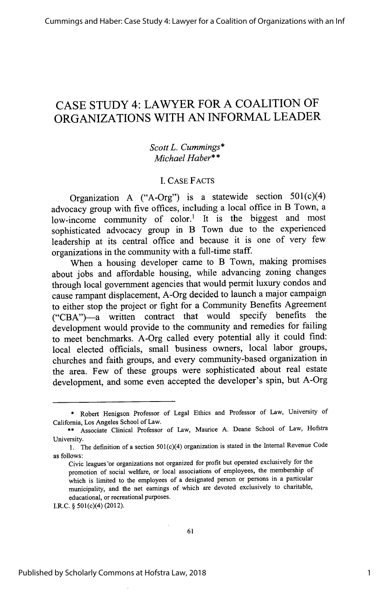Cummings and Haber: Case Study 4: Lawyer for a Coalition of Organizations with an Inf

## CASE STUDY 4: LAWYER FOR A COALITION OF ORGANIZATIONS WITH AN INFORMAL LEADER

### *Scott L. Cummings\* Michael Haber\*\**

### **1.** CASE FACTS

Organization A ("A-Org") is a statewide section 501(c)(4) advocacy group with five offices, including a local office in B Town, a low-income community of color.<sup>1</sup> It is the biggest and most sophisticated advocacy group in B Town due to the experienced leadership at its central office and because it is one of very few organizations in the community with a full-time staff.

When a housing developer came to B Town, making promises about jobs and affordable housing, while advancing zoning changes through local government agencies that would permit luxury condos and cause rampant displacement, A-Org decided to launch a major campaign to either stop the project or fight for a Community Benefits Agreement ("CBA")-a written contract that would specify benefits the development would provide to the community and remedies for failing to meet benchmarks. A-Org called every potential ally it could find: local elected officials, small business owners, local labor groups, churches and faith groups, and every community-based organization in the area. Few of these groups were sophisticated about real estate development, and some even accepted the developer's spin, but A-Org

I.R.C. § 501(c)(4) (2012).

<sup>\*</sup> Robert Henigson Professor of Legal Ethics and Professor of Law, University of California, Los Angeles School of Law.

<sup>\*\*</sup> Associate Clinical Professor of Law, Maurice A. Deane School of Law, Hofstra University.

<sup>1.</sup> The definition of a section 501(c)(4) organization is stated in the Internal Revenue Code as follows:

Civic leagues 'or organizations not organized for profit but operated exclusively for the promotion of social welfare, or local associations of employees, the membership of which is limited to the employees of a designated person or persons in a particular municipality, and the net earnings of which are devoted exclusively to charitable, educational, or recreational purposes.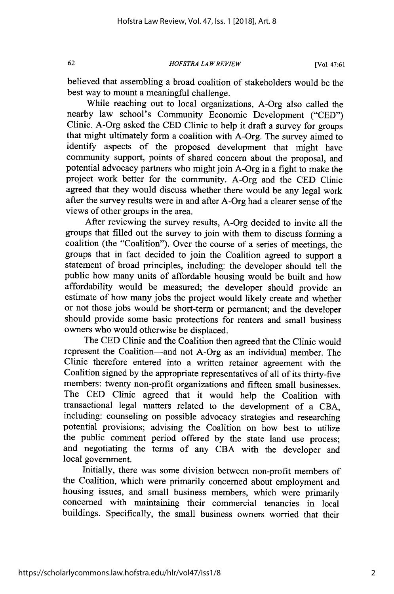*HOFSTRA LA W REVIEW*

[Vol. 47:61

believed that assembling a broad coalition of stakeholders would be the best way to mount a meaningful challenge.

While reaching out to local organizations, A-Org also called the nearby law school's Community Economic Development ("CED") Clinic. A-Org asked the CED Clinic to help it draft a survey for groups that might ultimately form a coalition with A-Org. The survey aimed to identify aspects of the proposed development that might have community support, points of shared concern about the proposal, and potential advocacy partners who might join A-Org in a fight to make the project work better for the community. A-Org and the CED Clinic agreed that they would discuss whether there would be any legal work after the survey results were in and after A-Org had a clearer sense of the views of other groups in the area.

After reviewing the survey results, A-Org decided to invite all the groups that filled out the survey to join with them to discuss forming a coalition (the "Coalition"). Over the course of a series of meetings, the groups that in fact decided to join the Coalition agreed to support a statement of broad principles, including: the developer should tell the public how many units of affordable housing would be built and how affordability would be measured; the developer should provide an estimate of how many jobs the project would likely create and whether or not those jobs would be short-term or permanent; and the developer should provide some basic protections for renters and small business owners who would otherwise be displaced.

The CED Clinic and the Coalition then agreed that the Clinic would represent the Coalition-and not A-Org as an individual member. The Clinic therefore entered into a written retainer agreement with the Coalition signed by the appropriate representatives of all of its thirty-five members: twenty non-profit organizations and fifteen small businesses. The CED Clinic agreed that it would help the Coalition with transactional legal matters related to the development of a CBA, including: counseling on possible advocacy strategies and researching potential provisions; advising the Coalition on how best to utilize the public comment period offered by the state land use process; and negotiating the terms of any CBA with the developer and local government.

Initially, there was some division between non-profit members of the Coalition, which were primarily concerned about employment and housing issues, and small business members, which were primarily concerned with maintaining their commercial tenancies in local buildings. Specifically, the small business owners worried that their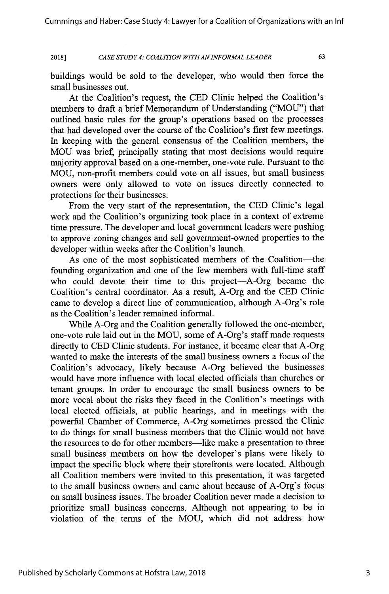#### *CASE STUDY 4: COALITION WITH ANINFORMAL LEADER* **2018]**

63

buildings would be sold to the developer, who would then force the small businesses out.

At the Coalition's request, the CED Clinic helped the Coalition's members to draft a brief Memorandum of Understanding ("MOU") that outlined basic rules for the group's operations based on the processes that had developed over the course of the Coalition's first few meetings. In keeping with the general consensus of the Coalition members, the MOU was brief, principally stating that most decisions would require majority approval based on a one-member, one-vote rule. Pursuant to the MOU, non-profit members could vote on all issues, but small business owners were only allowed to vote on issues directly connected to protections for their businesses.

From the very start of the representation, the CED Clinic's legal work and the Coalition's organizing took place in a context of extreme time pressure. The developer and local government leaders were pushing to approve zoning changes and sell government-owned properties to the developer within weeks after the Coalition's launch.

As one of the most sophisticated members of the Coalition-the founding organization and one of the few members with full-time staff who could devote their time to this project-A-Org became the Coalition's central coordinator. As a result, A-Org and the CED Clinic came to develop a direct line of communication, although A-Org's role as the Coalition's leader remained informal.

While A-Org and the Coalition generally followed the one-member, one-vote rule laid out in the MOU, some of A-Org's staff made requests directly to CED Clinic students. For instance, it became clear that A-Org wanted to make the interests of the small business owners a focus of the Coalition's advocacy, likely because A-Org believed the businesses would have more influence with local elected officials than churches or tenant groups. In order to encourage the small business owners to be more vocal about the risks they faced in the Coalition's meetings with local elected officials, at public hearings, and in meetings with the powerful Chamber of Commerce, A-Org sometimes pressed the Clinic to do things for small business members that the Clinic would not have the resources to do for other members—like make a presentation to three small business members on how the developer's plans were likely to impact the specific block where their storefronts were located. Although all Coalition members were invited to this presentation, it was targeted to the small business owners and came about because of A-Org's focus on small business issues. The broader Coalition never made a decision to prioritize small business concerns. Although not appearing to be in violation of the terms of the MOU, which did not address how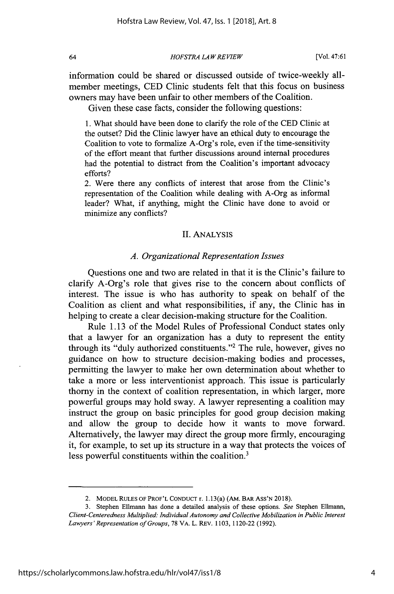*HOFSTRA LA W REVIEW*

information could be shared or discussed outside of twice-weekly allmember meetings, CED Clinic students felt that this focus on business owners may have been unfair to other members of the Coalition.

Given these case facts, consider the following questions:

1. What should have been done to clarify the role of the CED Clinic at the outset? Did the Clinic lawyer have an ethical duty to encourage the Coalition to vote to formalize A-Org's role, even if the time-sensitivity of the effort meant that further discussions around internal procedures had the potential to distract from the Coalition's important advocacy efforts?

2. Were there any conflicts of interest that arose from the Clinic's representation of the Coalition while dealing with A-Org as informal leader? What, if anything, might the Clinic have done to avoid or minimize any conflicts?

### II. ANALYSIS

### *A. Organizational Representation Issues*

Questions one and two are related in that it is the Clinic's failure to clarify A-Org's role that gives rise to the concern about conflicts of interest. The issue is who has authority to speak on behalf of the Coalition as client and what responsibilities, if any, the Clinic has in helping to create a clear decision-making structure for the Coalition.

Rule 1.13 of the Model Rules of Professional Conduct states only that a lawyer for an organization has a duty to represent the entity through its "duly authorized constituents."2 The rule, however, gives no guidance on how to structure decision-making bodies and processes, permitting the lawyer to make her own determination about whether to take a more or less interventionist approach. This issue is particularly thorny in the context of coalition representation, in which larger, more powerful groups may hold sway. A lawyer representing a coalition may instruct the group on basic principles for good group decision making and allow the group to decide how it wants to move forward. Alternatively, the lawyer may direct the group more firmly, encouraging it, for example, to set up its structure in a way that protects the voices of less powerful constituents within the coalition.<sup>3</sup>

<sup>2.</sup> MODEL RULES OF PROF'L CONDUCT r. 1.13(a) (AM. BAR ASS'N 2018).

<sup>3.</sup> Stephen Ellmann has done a detailed analysis of these options. *See* Stephen Ellmann, *Client-Centeredness Multiplied: Individual Autonomy and Collective Mobilization in Public Interest Lawyers'Representation of Groups,* 78 VA. L. REV. 1103, 1120-22 (1992).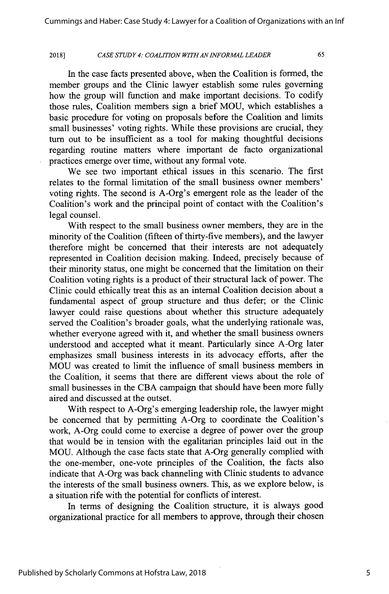#### *CASE STUDY 4: COALITION WITHAN INFORMAL LEADER* **2018]**

65

In the case facts presented above, when the Coalition is formed, the member groups and the Clinic lawyer establish some rules governing how the group will function and make important decisions. To codify those rules, Coalition members sign a brief MOU, which establishes a basic procedure for voting on proposals before the Coalition and limits small businesses' voting rights. While these provisions are crucial, they turn out to be insufficient as a tool for making thoughtful decisions regarding routine matters where important de facto organizational practices emerge over time, without any formal vote.

We see two important ethical issues in this scenario. The first relates to the formal limitation of the small business owner members' voting rights. The second is A-Org's emergent role as the leader of the Coalition's work and the principal point of contact with the Coalition's legal counsel.

With respect to the small business owner members, they are in the minority of the Coalition (fifteen of thirty-five members), and the lawyer therefore might be concerned that their interests are not adequately represented in Coalition decision making. Indeed, precisely because of their minority status, one might be concerned that the limitation on their Coalition voting rights is a product of their structural lack of power. The Clinic could ethically treat this as an internal Coalition decision about a fundamental aspect of group structure and thus defer; or the Clinic lawyer could raise questions about whether this structure adequately served the Coalition's broader goals, what the underlying rationale was, whether everyone agreed with it, and whether the small business owners understood and accepted what it meant. Particularly since A-Org later emphasizes small business interests in its advocacy efforts, after the MOU was created to limit the influence of small business members in the Coalition, it seems that there are different views about the role of small businesses in the CBA campaign that should have been more fully aired and discussed at the outset.

With respect to A-Org's emerging leadership role, the lawyer might be concerned that by permitting A-Org to coordinate the Coalition's work, A-Org could come to exercise a degree of power over the group that would be in tension with the egalitarian principles laid out in the MOU. Although the case facts state that A-Org generally complied with the one-member, one-vote principles of the Coalition, the facts also indicate that A-Org was back channeling with Clinic students to advance the interests of the small business owners. This, as we explore below, is a situation rife with the potential for conflicts of interest.

In terms of designing the Coalition structure, it is always good organizational practice for all members to approve, through their chosen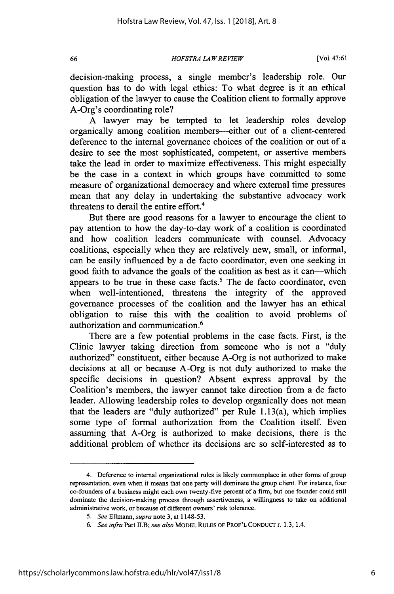*HOFSTRA LA W REVIEW[*

[Vol. 47:61

decision-making process, a single member's leadership role. Our question has to do with legal ethics: To what degree is it an ethical obligation of the lawyer to cause the Coalition client to formally approve A-Org's coordinating role?

A lawyer may be tempted to let leadership roles develop organically among coalition members--either out of a client-centered deference to the internal governance choices of the coalition or out of a desire to see the most sophisticated, competent, or assertive members take the lead in order to maximize effectiveness. This might especially be the case in a context in which groups have committed to some measure of organizational democracy and where external time pressures mean that any delay in undertaking the substantive advocacy work threatens to derail the entire effort.<sup>4</sup>

But there are good reasons for a lawyer to encourage the client to pay attention to how the day-to-day work of a coalition is coordinated and how coalition leaders communicate with counsel. Advocacy coalitions, especially when they are relatively new, small, or informal, can be easily influenced by a de facto coordinator, even one seeking in good faith to advance the goals of the coalition as best as it can-which appears to be true in these case facts.<sup>5</sup> The de facto coordinator, even when well-intentioned, threatens the integrity of the approved governance processes of the coalition and the lawyer has an ethical obligation to raise this with the coalition to avoid problems of authorization and communication. <sup>6</sup>

There are a few potential problems in the case facts. First, is the Clinic lawyer taking direction from someone who is not a "duly authorized" constituent, either because A-Org is not authorized to make decisions at all or because A-Org is not duly authorized to make the specific decisions in question? Absent express approval by the Coalition's members, the lawyer cannot take direction from a de facto leader. Allowing leadership roles to develop organically does not mean that the leaders are "duly authorized" per Rule 1.13(a), which implies some type of formal authorization from the Coalition itself. Even assuming that A-Org is authorized to make decisions, there is the additional problem of whether its decisions are so self-interested as to

<sup>4.</sup> Deference to internal organizational rules is likely commonplace in other forms of group representation, even when it means that one party will dominate the group client. For instance, four co-founders of a business might each own twenty-five percent of a firm, but one founder could still dominate the decision-making process through assertiveness, a willingness to take on additional administrative work, or because of different owners' risk tolerance.

*<sup>5.</sup> See Ellmann, supra* note 3, at 1148-53.

*<sup>6.</sup> See infra* Part H.B; *see also* MODEL RULES OF PROF'L CONDUCT r. 1.3, 1.4.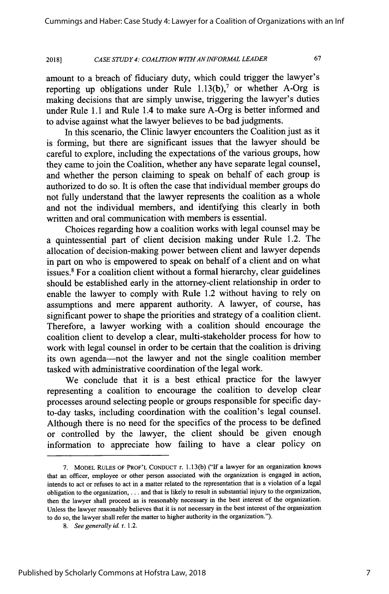#### *CASE STUDY 4: COALITION WITH AN INFORMAL LEADER* **2018]**

amount to a breach of fiduciary duty, which could trigger the lawyer's reporting up obligations under Rule  $1.13(b)$ ,<sup>7</sup> or whether A-Org is making decisions that are simply unwise, triggering the lawyer's duties under Rule 1.1 and Rule 1.4 to make sure A-Org is better informed and to advise against what the lawyer believes to be bad judgments.

In this scenario, the Clinic lawyer encounters the Coalition just as it is forming, but there are significant issues that the lawyer should be careful to explore, including the expectations of the various groups, how they came to join the Coalition, whether any have separate legal counsel, and whether the person claiming to speak on behalf of each group is authorized to do so. It is often the case that individual member groups do not fully understand that the lawyer represents the coalition as a whole and not the individual members, and identifying this clearly in both written and oral communication with members is essential.

Choices regarding how a coalition works with legal counsel may be a quintessential part of client decision making under Rule 1.2. The allocation of decision-making power between client and lawyer depends in part on who is empowered to speak on behalf of a client and on what issues.<sup>8</sup> For a coalition client without a formal hierarchy, clear guidelines should be established early in the attorney-client relationship in order to enable the lawyer to comply with Rule 1.2 without having to rely on assumptions and mere apparent authority. A lawyer, of course, has significant power to shape the priorities and strategy of a coalition client. Therefore, a lawyer working with a coalition should encourage the coalition client to develop a clear, multi-stakeholder process for how to work with legal counsel in order to be certain that the coalition is driving its own agenda-not the lawyer and not the single coalition member tasked with administrative coordination of the legal work.

We conclude that it is a best ethical practice for the lawyer representing a coalition to encourage the coalition to develop clear processes around selecting people or groups responsible for specific dayto-day tasks, including coordination with the coalition's legal counsel. Although there is no need for the specifics of the process to be defined or controlled by the lawyer, the client should be given enough information to appreciate how failing to have a clear policy on

**<sup>7.</sup>** MODEL **RULES** OF PROF'L **CONDUCT** r. 1.13(b) ("If a lawyer for an organization knows that an officer, employee or other person associated with the organization is engaged in action, intends to act or refuses to act in a matter related to the representation that is a violation of a legal obligation to the organization,... and that is likely to result in substantial injury to the organization, then the lawyer shall proceed as is reasonably necessary in the best interest of the organization. Unless the lawyer reasonably believes that it is not necessary in the best interest of the organization to do so, the lawyer shall refer the matter to higher authority in the organization.").

*<sup>8.</sup> See generally id.* r. 1.2.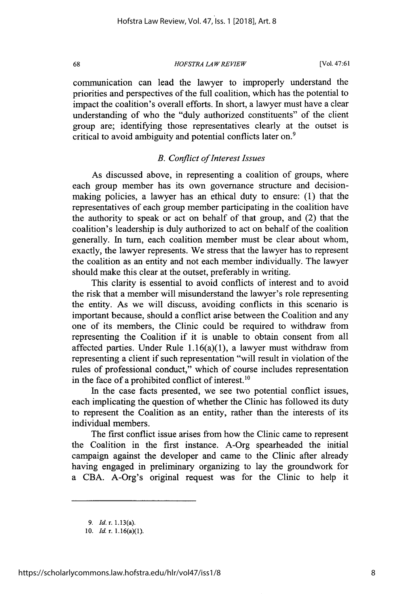*HOFSTRA LAW REVIEW*

[Vol. 47:61

communication can lead the lawyer to improperly understand the priorities and perspectives of the full coalition, which has the potential to impact the coalition's overall efforts. In short, a lawyer must have a clear understanding of who the "duly authorized constituents" of the client group are; identifying those representatives clearly at the outset is critical to avoid ambiguity and potential conflicts later on.<sup>9</sup>

### *B. Conflict of Interest Issues*

As discussed above, in representing a coalition of groups, where each group member has its own governance structure and decisionmaking policies, a lawyer has an ethical duty to ensure: (1) that the representatives of each group member participating in the coalition have the authority to speak or act on behalf of that group, and (2) that the coalition's leadership is duly authorized to act on behalf of the coalition generally. In turn, each coalition member must be clear about whom, exactly, the lawyer represents. We stress that the lawyer has to represent the coalition as an entity and not each member individually. The lawyer should make this clear at the outset, preferably in writing.

This clarity is essential to avoid conflicts of interest and to avoid the risk that a member will misunderstand the lawyer's role representing the entity. As we will discuss, avoiding conflicts in this scenario is important because, should a conflict arise between the Coalition and any one of its members, the Clinic could be required to withdraw from representing the Coalition if it is unable to obtain consent from all affected parties. Under Rule  $1.16(a)(1)$ , a lawyer must withdraw from representing a client if such representation "will result in violation of the rules of professional conduct," which of course includes representation in the face of a prohibited conflict of interest.<sup>10</sup>

In the case facts presented, we see two potential conflict issues, each implicating the question of whether the Clinic has followed its duty to represent the Coalition as an entity, rather than the interests of its individual members.

The first conflict issue arises from how the Clinic came to represent the Coalition in the first instance. A-Org spearheaded the initial campaign against the developer and came to the Clinic after already having engaged in preliminary organizing to lay the groundwork for a CBA. A-Org's original request was for the Clinic to help it

<sup>9.</sup> Id. r. 1.13(a).

<sup>10.</sup> *Id.* r. 1.16(a)(1).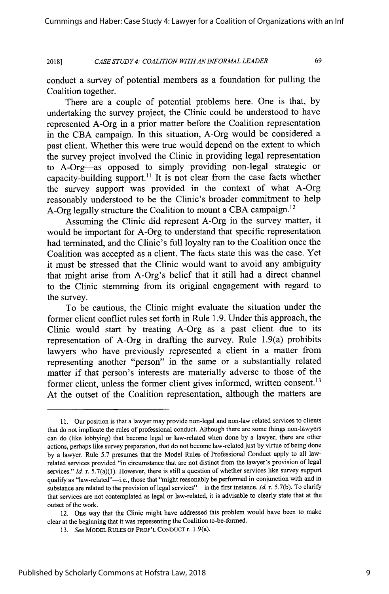*CASE STUDY 4: COALITION WITH AN INFORMAL LEADER* **2018]**

69

conduct a survey of potential members as a foundation for pulling the Coalition together.

There are a couple of potential problems here. One is that, by undertaking the survey project, the Clinic could be understood to have represented A-Org in a prior matter before the Coalition representation in the CBA campaign. In this situation, A-Org would be considered a past client. Whether this were true would depend on the extent to which the survey project involved the Clinic in providing legal representation to A-Org-as opposed to simply providing non-legal strategic or capacity-building support.<sup>11</sup> It is not clear from the case facts whether the survey support was provided in the context of what A-Org reasonably understood to be the Clinic's broader commitment to help A-Org legally structure the Coalition to mount a CBA campaign.<sup>12</sup>

Assuming the Clinic did represent A-Org in the survey matter, it would be important for A-Org to understand that specific representation had terminated, and the Clinic's full loyalty ran to the Coalition once the Coalition was accepted as a client. The facts state this was the case. Yet it must be stressed that the Clinic would want to avoid any ambiguity that might arise from A-Org's belief that it still had a direct channel to the Clinic stemming from its original engagement with regard to the survey.

To be cautious, the Clinic might evaluate the situation under the former client conflict rules set forth in Rule 1.9. Under this approach, the Clinic would start by treating A-Org as a past client due to its representation of A-Org in drafting the survey. Rule 1.9(a) prohibits lawyers who have previously represented a client in a matter from representing another "person" in the same or a substantially related matter if that person's interests are materially adverse to those of the former client, unless the former client gives informed, written consent.<sup>13</sup> At the outset of the Coalition representation, although the matters are

<sup>11.</sup> Our position is that a lawyer may provide non-legal and non-law related services to clients that do not implicate the rules of professional conduct. Although there are some things non-lawyers can do (like lobbying) that become legal or law-related when done by a lawyer, there are other actions, perhaps like survey preparation, that do not become law-related just by virtue of being done by a lawyer. Rule 5.7 presumes that the Model Rules of Professional Conduct apply to all lawrelated services provided "in circumstance that are not distinct from the lawyer's provision of legal services." *Id.* r. 5.7(a)(1). However, there is still a question of whether services like survey support qualify as "law-related"-i.e., those that "might reasonably be performed in conjunction with and in substance are related to the provision of legal services"-in the first instance. *Id.* r. 5.7(b). To clarify that services are not contemplated as legal or law-related, it is advisable to clearly state that at the outset of the work.

<sup>12.</sup> One way that the Clinic might have addressed this problem would have been to make clear at the beginning that it was representing the Coalition to-be-formed.

*<sup>13.</sup> See* MODEL **RULES** OF PROF'L **CONDUCT** r. 1.9(a).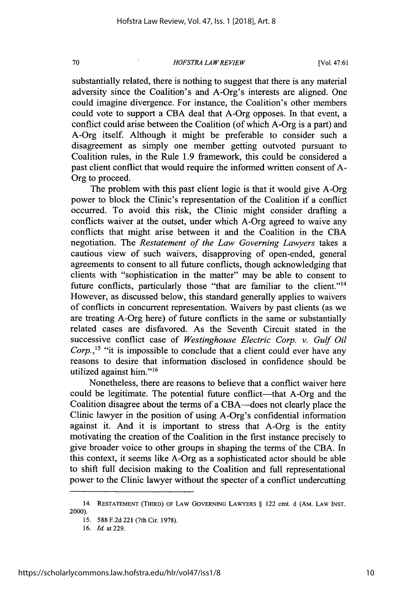### *HOFSTRA LAW REVIEW*

[Vol. 47:61

substantially related, there is nothing to suggest that there is any material adversity since the Coalition's and A-Org's interests are aligned. One could imagine divergence. For instance, the Coalition's other members could vote to support a CBA deal that A-Org opposes. In that event, a conflict could arise between the Coalition (of which A-Org is a part) and A-Org itself. Although it might be preferable to consider such a disagreement as simply one member getting outvoted pursuant to Coalition rules, in the Rule 1.9 framework, this could be considered a past client conflict that would require the informed written consent of A-Org to proceed.

The problem with this past client logic is that it would give A-Org power to block the Clinic's representation of the Coalition if a conflict occurred. To avoid this risk, the Clinic might consider drafting a conflicts waiver at the outset, under which A-Org agreed to waive any conflicts that might arise between it and the Coalition in the CBA negotiation. The *Restatement of the Law Governing Lawyers* takes a cautious view of such waivers, disapproving of open-ended, general agreements to consent to all future conflicts, though acknowledging that clients with "sophistication in the matter" may be able to consent to future conflicts, particularly those "that are familiar to the client."<sup>14</sup> However, as discussed below, this standard generally applies to waivers of conflicts in concurrent representation. Waivers by past clients (as we are treating A-Org here) of future conflicts in the same or substantially related cases are disfavored. As the Seventh Circuit stated in the successive conflict case of *Westinghouse Electric Corp. v. Gulf Oil Corp.,15* "it is impossible to conclude that a client could ever have any reasons to desire that information disclosed in confidence should be utilized against him."<sup>16</sup>

Nonetheless, there are reasons to believe that a conflict waiver here could be legitimate. The potential future conflict—that A-Org and the Coalition disagree about the terms of a CBA--does not clearly place the Clinic lawyer in the position of using A-Org's confidential information against it. And it is important to stress that A-Org is the entity motivating the creation of the Coalition in the first instance precisely to give broader voice to other groups in shaping the terms of the CBA. In this context, it seems like A-Org as a sophisticated actor should be able to shift full decision making to the Coalition and full representational power to the Clinic lawyer without the specter of a conflict undercutting

70

<sup>14.</sup> RESTATEMENT (THIRD) OF LAW GOVERNING LAWYERS § 122 cmt. d (AM. LAW **INST.** 2000).

<sup>15. 588</sup> F.2d 221 (7th Cir. 1978).

<sup>16.</sup> *Id.* at 229.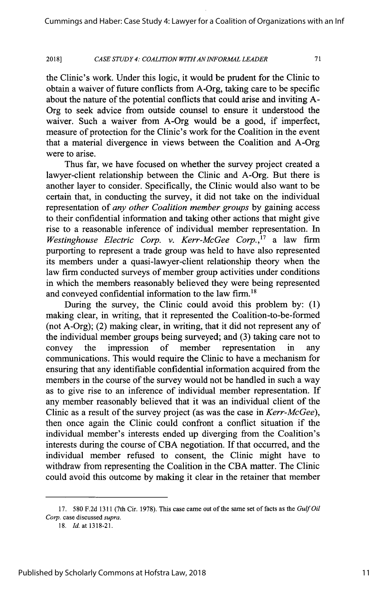#### *CASE STUDY 4: COALITION WITHAN INFORMAL LEADER* **2018]**

71

the Clinic's work. Under this logic, it would be prudent for the Clinic to obtain a waiver of future conflicts from A-Org, taking care to be specific about the nature of the potential conflicts that could arise and inviting A-Org to seek advice from outside counsel to ensure it understood the waiver. Such a waiver from A-Org would be a good, if imperfect, measure of protection for the Clinic's work for the Coalition in the event that a material divergence in views between the Coalition and A-Org were to arise.

Thus far, we have focused on whether the survey project created a lawyer-client relationship between the Clinic and A-Org. But there is another layer to consider. Specifically, the Clinic would also want to be certain that, in conducting the survey, it did not take on the individual representation of *any other Coalition member groups* by gaining access to their confidential information and taking other actions that might give rise to a reasonable inference of individual member representation. In *Westinghouse Electric Corp. v. Kerr-McGee Corp.*,<sup>17</sup> a law firm purporting to represent a trade group was held to have also represented its members under a quasi-lawyer-client relationship theory when the law firm conducted surveys of member group activities under conditions in which the members reasonably believed they were being represented and conveyed confidential information to the law firm.'<sup>8</sup>

During the survey, the Clinic could avoid this problem by: (1) making clear, in writing, that it represented the Coalition-to-be-formed (not A-Org); (2) making clear, in writing, that it did not represent any of the individual member groups being surveyed; and (3) taking care not to convey the impression of member representation in any communications. This would require the Clinic to have a mechanism for ensuring that any identifiable confidential information acquired from the members in the course of the survey would not be handled in such a way as to give rise to an inference of individual member representation. If any member reasonably believed that it was an individual client of the Clinic as a result of the survey project (as was the case in *Kerr-McGee),* then once again the Clinic could confront a conflict situation if the individual member's interests ended up diverging from the Coalition's interests during the course of CBA negotiation. If that occurred, and the individual member refused to consent, the Clinic might have to withdraw from representing the Coalition in the CBA matter. The Clinic could avoid this outcome by making it clear in the retainer that member

<sup>17. 580</sup> F.2d 1311 (7th Cir. 1978). This case came out of the same set of facts as the *GulfOil Corp.* case discussed *supra.*

<sup>18.</sup> *Id.* at 1318-21.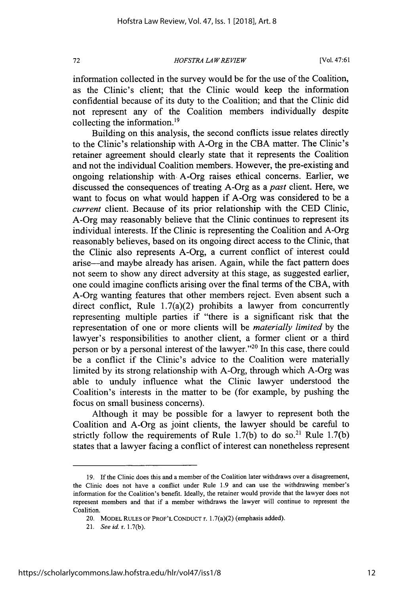*HOFSTRA LA W REVIEW*

information collected in the survey would be for the use of the Coalition, as the Clinic's client; that the Clinic would keep the information confidential because of its duty to the Coalition; and that the Clinic did not represent any of the Coalition members individually despite collecting the information. $19$ 

Building on this analysis, the second conflicts issue relates directly to the Clinic's relationship with A-Org in the CBA matter. The Clinic's retainer agreement should clearly state that it represents the Coalition and not the individual Coalition members. However, the pre-existing and ongoing relationship with A-Org raises ethical concerns. Earlier, we discussed the consequences of treating A-Org as a *past* client. Here, we want to focus on what would happen if A-Org was considered to be a *current* client. Because of its prior relationship with the CED Clinic, A-Org may reasonably believe that the Clinic continues to represent its individual interests. If the Clinic is representing the Coalition and A-Org reasonably believes, based on its ongoing direct access to the Clinic, that the Clinic also represents A-Org, a current conflict of interest could arise-and maybe already has arisen. Again, while the fact pattern does not seem to show any direct adversity at this stage, as suggested earlier, one could imagine conflicts arising over the final terms of the CBA, with A-Org wanting features that other members reject. Even absent such a direct conflict, Rule  $1.7(a)(2)$  prohibits a lawyer from concurrently representing multiple parties if "there is a significant risk that the representation of one or more clients will be *materially limited* by the lawyer's responsibilities to another client, a former client or a third person or by a personal interest of the lawyer."<sup>20</sup> In this case, there could be a conflict if the Clinic's advice to the Coalition were materially limited by its strong relationship with A-Org, through which A-Org was able to unduly influence what the Clinic lawyer understood the Coalition's interests in the matter to be (for example, by pushing the focus on small business concerns).

Although it may be possible for a lawyer to represent both the Coalition and A-Org as joint clients, the lawyer should be careful to strictly follow the requirements of Rule  $1.7(b)$  to do so.<sup>21</sup> Rule  $1.7(b)$ states that a lawyer facing a conflict of interest can nonetheless represent

72

<sup>19.</sup> If the Clinic does this and a member of the Coalition later withdraws over a disagreement, the Clinic does not have a conflict under Rule 1.9 and can use the withdrawing member's information for the Coalition's benefit. Ideally, the retainer would provide that the lawyer does not represent members and that if a member withdraws the lawyer will continue to represent the Coalition.

<sup>20.</sup> MODEL RULES OF PROF'L CONDuCT r. 1.7(a)(2) (emphasis added).

<sup>21.</sup> *See* id. r. 1.7(b).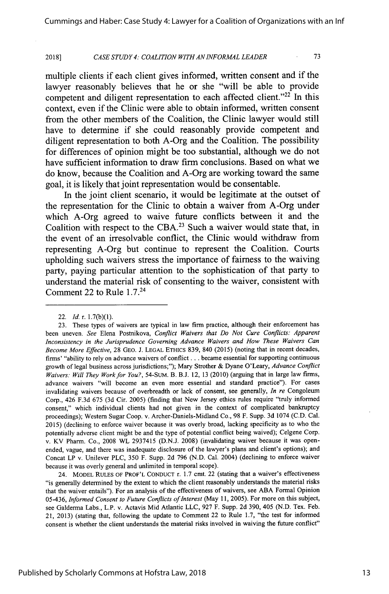#### *CASE STUDY 4: COALITION WITH AN INFORMAL LEADER* **2018]**

73

multiple clients if each client gives informed, written consent and if the lawyer reasonably believes that he or she "will be able to provide competent and diligent representation to each affected client."<sup>22</sup> In this context, even if the Clinic were able to obtain informed, written consent from the other members of the Coalition, the Clinic lawyer would still have to determine if she could reasonably provide competent and diligent representation to both A-Org and the Coalition. The possibility for differences of opinion might be too substantial, although we do not have sufficient information to draw firm conclusions. Based on what we do know, because the Coalition and A-Org are working toward the same goal, it is likely that joint representation would be consentable.

In the joint client scenario, it would be legitimate at the outset of the representation for the Clinic to obtain a waiver from A-Org under which A-Org agreed to waive future conflicts between it and the Coalition with respect to the **CBA.23** Such a waiver would state that, in the event of an irresolvable conflict, the Clinic would withdraw from representing A-Org but continue to represent the Coalition. Courts upholding such waivers stress the importance of fairness to the waiving party, paying particular attention to the sophistication of that party to understand the material risk of consenting to the waiver, consistent with Comment 22 to Rule **1.7.24**

24. MODEL RULES OF PROF'L CONDUCT r. 1.7 cmt. 22 (stating that a waiver's effectiveness "is generally determined by the extent to which the client reasonably understands the material risks that the waiver entails"). For an analysis of the effectiveness of waivers, see ABA Formal Opinion 05-436, *Informed Consent to Future Conflicts of Interest* (May 11, 2005). For more on this subject, see Galderma Labs., L.P. v. Actavis Mid Atlantic LLC, 927 F. Supp. 2d 390, 405 (N.D. Tex. Feb. 21, 2013) (stating that, following the update to Comment 22 to Rule 1.7, "the test for informed consent is whether the client understands the material risks involved in waiving the future conflict"

<sup>22.</sup> *Id.* r. 1.7(b)(1).

<sup>23.</sup> These types of waivers are typical in law firm practice, although their enforcement has been uneven. *See* Elena Postnikova, *Conflict Waivers that Do Not Cure Conflicts: Apparent Inconsistency in the Jurisprudence Governing Advance Waivers and How These Waivers Can Become More Effective,* 28 GEO. J. LEGAL ETHICs 839, 840 (2015) (noting that in recent decades, firms' "ability to rely on advance waivers of conflict **..** became essential for supporting continuous growth of legal business across jurisdictions;"); Mary Strother & Dyane O'Leary, *Advance Conflict Waivers: Will They Work for You?,* 54-SuM. B. B.J. 12, 13 (2010) (arguing that in large law firms, advance waivers "will become an even more essential and standard practice"). For cases invalidating waivers because of overbreadth or lack of consent, see generally, *In re* Congoleum Corp., 426 F.3d 675 (3d Cir. 2005) (finding that New Jersey ethics rules require "truly informed consent," which individual clients had not given in the context of complicated bankruptcy proceedings); Western Sugar Coop. v. Archer-Daniels-Midland Co., 98 F. Supp. 3d 1074 (C.D. Cal. 2015) (declining to enforce waiver because it was overly broad, lacking specificity as to who the potentially adverse client might be and the type of potential conflict being waived); Celgene Corp. v. KV Pharm. Co., 2008 WL 2937415 (D.N.J. 2008) (invalidating waiver because it was openended, vague, and there was inadequate disclosure of the lawyer's plans and client's options); and Concat LP v. Unilever PLC, 350 F. Supp. 2d 796 (N.D. Cal. 2004) (declining to enforce waiver because it was overly general and unlimited in temporal scope).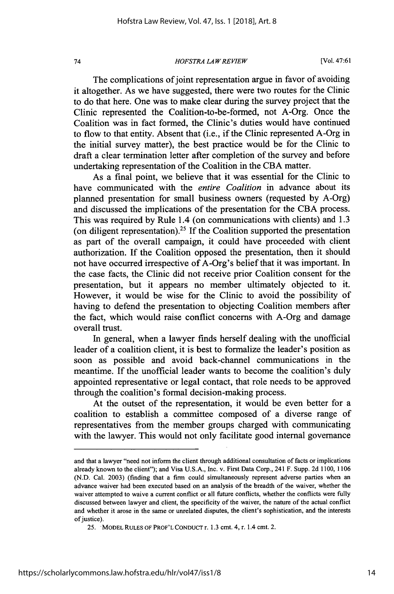*HOFSTRA LA W REVIEW*

[Vol. 47:61

The complications of joint representation argue in favor of avoiding it altogether. As we have suggested, there were two routes for the Clinic to do that here. One was to make clear during the survey project that the Clinic represented the Coalition-to-be-formed, not A-Org. Once the Coalition was in fact formed, the Clinic's duties would have continued to flow to that entity. Absent that (i.e., if the Clinic represented A-Org in the initial survey matter), the best practice would be for the Clinic to draft a clear termination letter after completion of the survey and before undertaking representation of the Coalition in the CBA matter.

As a final point, we believe that it was essential for the Clinic to have communicated with the *entire Coalition* in advance about its planned presentation for small business owners (requested by A-Org) and discussed the implications of the presentation for the CBA process. This was required by Rule 1.4 (on communications with clients) and 1.3 (on diligent representation).<sup>25</sup> If the Coalition supported the presentation as part of the overall campaign, it could have proceeded with client authorization. If the Coalition opposed the presentation, then it should not have occurred irrespective of A-Org's belief that it was important. In the case facts, the Clinic did not receive prior Coalition consent for the presentation, but it appears no member ultimately objected to it. However, it would be wise for the Clinic to avoid the possibility of having to defend the presentation to objecting Coalition members after the fact, which would raise conflict concerns with A-Org and damage overall trust.

In general, when a lawyer finds herself dealing with the unofficial leader of a coalition client, it is best to formalize the leader's position as soon as possible and avoid back-channel communications in the meantime. If the unofficial leader wants to become the coalition's duly appointed representative or legal contact, that role needs to be approved through the coalition's formal decision-making process.

At the outset of the representation, it would be even better for a coalition to establish a committee composed of a diverse range of representatives from the member groups charged with communicating with the lawyer. This would not only facilitate good internal governance

and that a lawyer "need not inform the client through additional consultation of facts or implications already known to the client"); and Visa U.S.A., Inc. v. First Data Corp., 241 F. Supp. 2d 1100, 1106 (N.D. Cal. 2003) (finding that a firm could simultaneously represent adverse parties when an advance waiver had been executed based on an analysis of the breadth of the waiver, whether the waiver attempted to waive a current conflict or all future conflicts, whether the conflicts were fully discussed between lawyer and client, the specificity of the waiver, the nature of the actual conflict and whether it arose in the same or unrelated disputes, the client's sophistication, and the interests of justice).

<sup>25.</sup> MODEL **RULES** OF PROF'L CONDUCT r. **1.3** cmt. 4, r. 1.4 cmt. 2.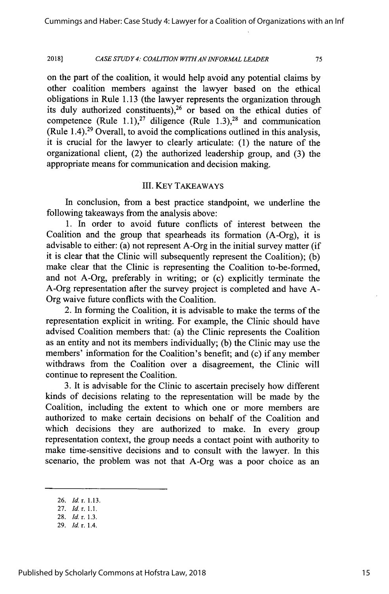#### *CASE STUDY 4: COALITION WITH AN 1NFORMAL LEADER* **2018]**

75

on the part of the coalition, it would help avoid any potential claims by other coalition members against the lawyer based on the ethical obligations in Rule 1.13 (the lawyer represents the organization through its duly authorized constituents), $26$  or based on the ethical duties of competence (Rule 1.1),<sup>27</sup> diligence (Rule 1.3),<sup>28</sup> and communication (Rule 1.4).29 Overall, to avoid the complications outlined in this analysis, it is crucial for the lawyer to clearly articulate: (1) the nature of the organizational client, (2) the authorized leadership group, and (3) the appropriate means for communication and decision making.

### III. KEY TAKEAWAYS

In conclusion, from a best practice standpoint, we underline the following takeaways from the analysis above:

1. In order to avoid future conflicts of interest between the Coalition and the group that spearheads its formation (A-Org), it is advisable to either: (a) not represent A-Org in the initial survey matter (if it is clear that the Clinic will subsequently represent the Coalition); (b) make clear that the Clinic is representing the Coalition to-be-formed, and not A-Org, preferably in writing; or (c) explicitly terminate the A-Org representation after the survey project is completed and have A-Org waive future conflicts with the Coalition.

2. In forming the Coalition, it is advisable to make the terms of the representation explicit in writing. For example, the Clinic should have advised Coalition members that: (a) the Clinic represents the Coalition as an entity and not its members individually; (b) the Clinic may use the members' information for the Coalition's benefit; and (c) if any member withdraws from the Coalition over a disagreement, the Clinic will continue to represent the Coalition.

3. It is advisable for the Clinic to ascertain precisely how different kinds of decisions relating to the representation will be made by the Coalition, including the extent to which one or more members are authorized to make certain decisions on behalf of the Coalition and which decisions they are authorized to make. In every group representation context, the group needs a contact point with authority to make time-sensitive decisions and to consult with the lawyer. In this scenario, the problem was not that A-Org was a poor choice as an

<sup>26.</sup> *Id* **r.** 1.13.

<sup>27.</sup> *Id.* r. 1.1.

<sup>28.</sup> *Id. r.* 1.3.

<sup>29.</sup> *Id* r. 1.4.